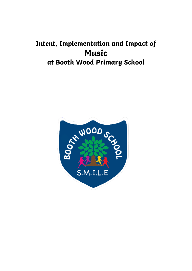# **Intent, Implementation and Impact of Music at Booth Wood Primary School**